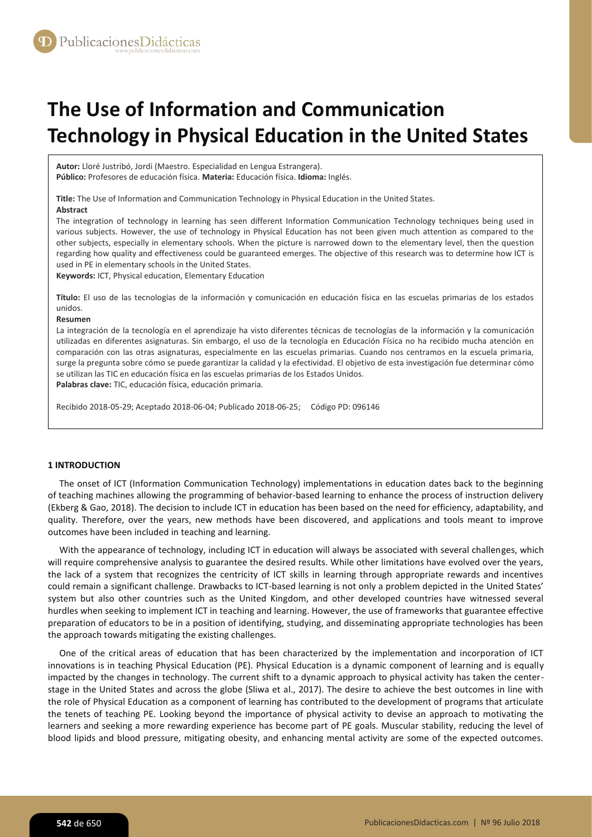# **The Use of Information and Communication Technology in Physical Education in the United States**

**Autor:** Lloré Justribó, Jordi (Maestro. Especialidad en Lengua Estrangera). **Público:** Profesores de educación física. **Materia:** Educación física. **Idioma:** Inglés.

**Title:** The Use of Information and Communication Technology in Physical Education in the United States. **Abstract**

The integration of technology in learning has seen different Information Communication Technology techniques being used in various subjects. However, the use of technology in Physical Education has not been given much attention as compared to the other subjects, especially in elementary schools. When the picture is narrowed down to the elementary level, then the question regarding how quality and effectiveness could be guaranteed emerges. The objective of this research was to determine how ICT is used in PE in elementary schools in the United States.

**Keywords:** ICT, Physical education, Elementary Education

**Título:** El uso de las tecnologías de la información y comunicación en educación física en las escuelas primarias de los estados unidos.

#### **Resumen**

La integración de la tecnología en el aprendizaje ha visto diferentes técnicas de tecnologías de la información y la comunicación utilizadas en diferentes asignaturas. Sin embargo, el uso de la tecnología en Educación Física no ha recibido mucha atención en comparación con las otras asignaturas, especialmente en las escuelas primarias. Cuando nos centramos en la escuela primaria, surge la pregunta sobre cómo se puede garantizar la calidad y la efectividad. El objetivo de esta investigación fue determinar cómo se utilizan las TIC en educación física en las escuelas primarias de los Estados Unidos. **Palabras clave:** TIC, educación física, educación primaria.

Recibido 2018-05-29; Aceptado 2018-06-04; Publicado 2018-06-25; Código PD: 096146

# **1 INTRODUCTION**

The onset of ICT (Information Communication Technology) implementations in education dates back to the beginning of teaching machines allowing the programming of behavior-based learning to enhance the process of instruction delivery (Ekberg & Gao, 2018). The decision to include ICT in education has been based on the need for efficiency, adaptability, and quality. Therefore, over the years, new methods have been discovered, and applications and tools meant to improve outcomes have been included in teaching and learning.

With the appearance of technology, including ICT in education will always be associated with several challenges, which will require comprehensive analysis to guarantee the desired results. While other limitations have evolved over the years, the lack of a system that recognizes the centricity of ICT skills in learning through appropriate rewards and incentives could remain a significant challenge. Drawbacks to ICT-based learning is not only a problem depicted in the United States' system but also other countries such as the United Kingdom, and other developed countries have witnessed several hurdles when seeking to implement ICT in teaching and learning. However, the use of frameworks that guarantee effective preparation of educators to be in a position of identifying, studying, and disseminating appropriate technologies has been the approach towards mitigating the existing challenges.

One of the critical areas of education that has been characterized by the implementation and incorporation of ICT innovations is in teaching Physical Education (PE). Physical Education is a dynamic component of learning and is equally impacted by the changes in technology. The current shift to a dynamic approach to physical activity has taken the centerstage in the United States and across the globe (Sliwa et al., 2017). The desire to achieve the best outcomes in line with the role of Physical Education as a component of learning has contributed to the development of programs that articulate the tenets of teaching PE. Looking beyond the importance of physical activity to devise an approach to motivating the learners and seeking a more rewarding experience has become part of PE goals. Muscular stability, reducing the level of blood lipids and blood pressure, mitigating obesity, and enhancing mental activity are some of the expected outcomes.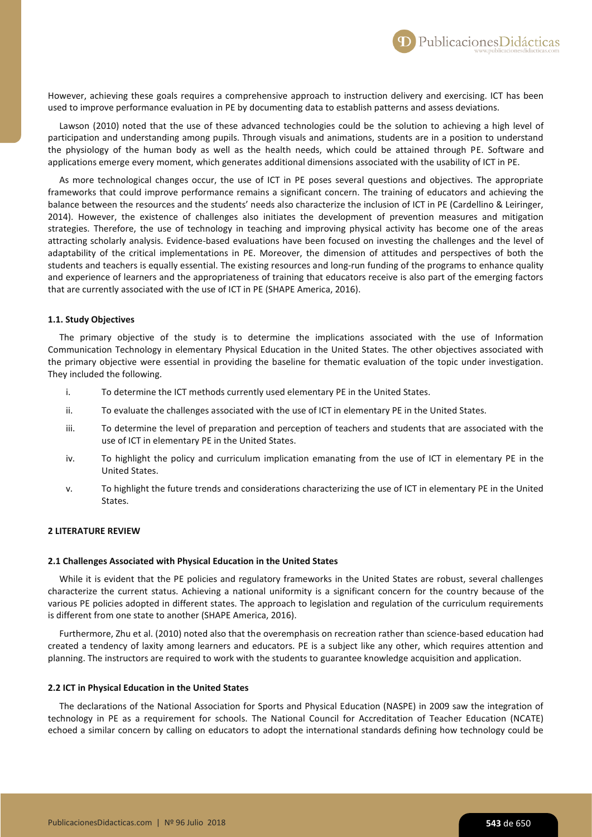However, achieving these goals requires a comprehensive approach to instruction delivery and exercising. ICT has been used to improve performance evaluation in PE by documenting data to establish patterns and assess deviations.

Lawson (2010) noted that the use of these advanced technologies could be the solution to achieving a high level of participation and understanding among pupils. Through visuals and animations, students are in a position to understand the physiology of the human body as well as the health needs, which could be attained through PE. Software and applications emerge every moment, which generates additional dimensions associated with the usability of ICT in PE.

As more technological changes occur, the use of ICT in PE poses several questions and objectives. The appropriate frameworks that could improve performance remains a significant concern. The training of educators and achieving the balance between the resources and the students' needs also characterize the inclusion of ICT in PE (Cardellino & Leiringer, 2014). However, the existence of challenges also initiates the development of prevention measures and mitigation strategies. Therefore, the use of technology in teaching and improving physical activity has become one of the areas attracting scholarly analysis. Evidence-based evaluations have been focused on investing the challenges and the level of adaptability of the critical implementations in PE. Moreover, the dimension of attitudes and perspectives of both the students and teachers is equally essential. The existing resources and long-run funding of the programs to enhance quality and experience of learners and the appropriateness of training that educators receive is also part of the emerging factors that are currently associated with the use of ICT in PE (SHAPE America, 2016).

## **1.1. Study Objectives**

The primary objective of the study is to determine the implications associated with the use of Information Communication Technology in elementary Physical Education in the United States. The other objectives associated with the primary objective were essential in providing the baseline for thematic evaluation of the topic under investigation. They included the following.

- i. To determine the ICT methods currently used elementary PE in the United States.
- ii. To evaluate the challenges associated with the use of ICT in elementary PE in the United States.
- iii. To determine the level of preparation and perception of teachers and students that are associated with the use of ICT in elementary PE in the United States.
- iv. To highlight the policy and curriculum implication emanating from the use of ICT in elementary PE in the United States.
- v. To highlight the future trends and considerations characterizing the use of ICT in elementary PE in the United States.

# **2 LITERATURE REVIEW**

## **2.1 Challenges Associated with Physical Education in the United States**

While it is evident that the PE policies and regulatory frameworks in the United States are robust, several challenges characterize the current status. Achieving a national uniformity is a significant concern for the country because of the various PE policies adopted in different states. The approach to legislation and regulation of the curriculum requirements is different from one state to another (SHAPE America, 2016).

Furthermore, Zhu et al. (2010) noted also that the overemphasis on recreation rather than science-based education had created a tendency of laxity among learners and educators. PE is a subject like any other, which requires attention and planning. The instructors are required to work with the students to guarantee knowledge acquisition and application.

#### **2.2 ICT in Physical Education in the United States**

The declarations of the National Association for Sports and Physical Education (NASPE) in 2009 saw the integration of technology in PE as a requirement for schools. The National Council for Accreditation of Teacher Education (NCATE) echoed a similar concern by calling on educators to adopt the international standards defining how technology could be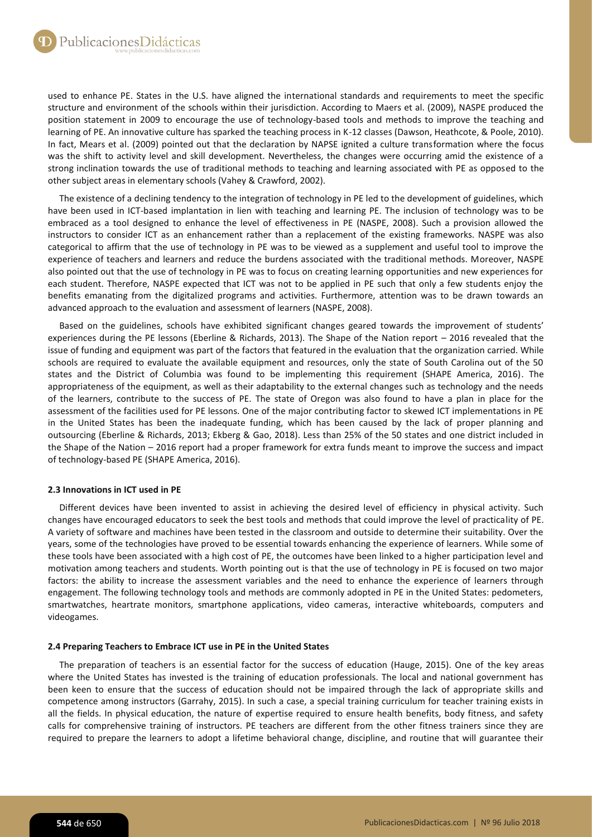used to enhance PE. States in the U.S. have aligned the international standards and requirements to meet the specific structure and environment of the schools within their jurisdiction. According to Maers et al. (2009), NASPE produced the position statement in 2009 to encourage the use of technology-based tools and methods to improve the teaching and learning of PE. An innovative culture has sparked the teaching process in K-12 classes (Dawson, Heathcote, & Poole, 2010). In fact, Mears et al. (2009) pointed out that the declaration by NAPSE ignited a culture transformation where the focus was the shift to activity level and skill development. Nevertheless, the changes were occurring amid the existence of a strong inclination towards the use of traditional methods to teaching and learning associated with PE as opposed to the other subject areas in elementary schools (Vahey & Crawford, 2002).

The existence of a declining tendency to the integration of technology in PE led to the development of guidelines, which have been used in ICT-based implantation in lien with teaching and learning PE. The inclusion of technology was to be embraced as a tool designed to enhance the level of effectiveness in PE (NASPE, 2008). Such a provision allowed the instructors to consider ICT as an enhancement rather than a replacement of the existing frameworks. NASPE was also categorical to affirm that the use of technology in PE was to be viewed as a supplement and useful tool to improve the experience of teachers and learners and reduce the burdens associated with the traditional methods. Moreover, NASPE also pointed out that the use of technology in PE was to focus on creating learning opportunities and new experiences for each student. Therefore, NASPE expected that ICT was not to be applied in PE such that only a few students enjoy the benefits emanating from the digitalized programs and activities. Furthermore, attention was to be drawn towards an advanced approach to the evaluation and assessment of learners (NASPE, 2008).

Based on the guidelines, schools have exhibited significant changes geared towards the improvement of students' experiences during the PE lessons (Eberline & Richards, 2013). The Shape of the Nation report – 2016 revealed that the issue of funding and equipment was part of the factors that featured in the evaluation that the organization carried. While schools are required to evaluate the available equipment and resources, only the state of South Carolina out of the 50 states and the District of Columbia was found to be implementing this requirement (SHAPE America, 2016). The appropriateness of the equipment, as well as their adaptability to the external changes such as technology and the needs of the learners, contribute to the success of PE. The state of Oregon was also found to have a plan in place for the assessment of the facilities used for PE lessons. One of the major contributing factor to skewed ICT implementations in PE in the United States has been the inadequate funding, which has been caused by the lack of proper planning and outsourcing (Eberline & Richards, 2013; Ekberg & Gao, 2018). Less than 25% of the 50 states and one district included in the Shape of the Nation – 2016 report had a proper framework for extra funds meant to improve the success and impact of technology-based PE (SHAPE America, 2016).

# **2.3 Innovations in ICT used in PE**

Different devices have been invented to assist in achieving the desired level of efficiency in physical activity. Such changes have encouraged educators to seek the best tools and methods that could improve the level of practicality of PE. A variety of software and machines have been tested in the classroom and outside to determine their suitability. Over the years, some of the technologies have proved to be essential towards enhancing the experience of learners. While some of these tools have been associated with a high cost of PE, the outcomes have been linked to a higher participation level and motivation among teachers and students. Worth pointing out is that the use of technology in PE is focused on two major factors: the ability to increase the assessment variables and the need to enhance the experience of learners through engagement. The following technology tools and methods are commonly adopted in PE in the United States: pedometers, smartwatches, heartrate monitors, smartphone applications, video cameras, interactive whiteboards, computers and videogames.

# **2.4 Preparing Teachers to Embrace ICT use in PE in the United States**

The preparation of teachers is an essential factor for the success of education (Hauge, 2015). One of the key areas where the United States has invested is the training of education professionals. The local and national government has been keen to ensure that the success of education should not be impaired through the lack of appropriate skills and competence among instructors (Garrahy, 2015). In such a case, a special training curriculum for teacher training exists in all the fields. In physical education, the nature of expertise required to ensure health benefits, body fitness, and safety calls for comprehensive training of instructors. PE teachers are different from the other fitness trainers since they are required to prepare the learners to adopt a lifetime behavioral change, discipline, and routine that will guarantee their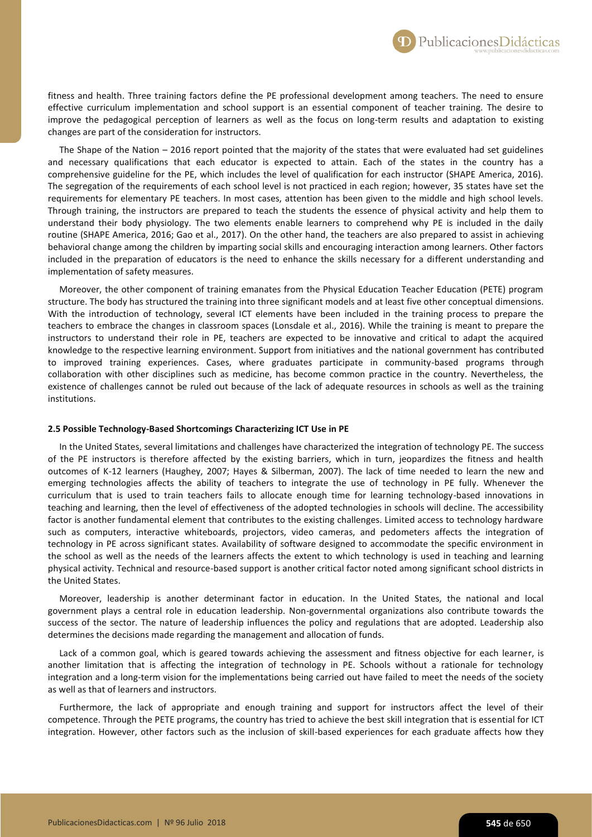fitness and health. Three training factors define the PE professional development among teachers. The need to ensure effective curriculum implementation and school support is an essential component of teacher training. The desire to improve the pedagogical perception of learners as well as the focus on long-term results and adaptation to existing changes are part of the consideration for instructors.

The Shape of the Nation – 2016 report pointed that the majority of the states that were evaluated had set guidelines and necessary qualifications that each educator is expected to attain. Each of the states in the country has a comprehensive guideline for the PE, which includes the level of qualification for each instructor (SHAPE America, 2016). The segregation of the requirements of each school level is not practiced in each region; however, 35 states have set the requirements for elementary PE teachers. In most cases, attention has been given to the middle and high school levels. Through training, the instructors are prepared to teach the students the essence of physical activity and help them to understand their body physiology. The two elements enable learners to comprehend why PE is included in the daily routine (SHAPE America, 2016; Gao et al., 2017). On the other hand, the teachers are also prepared to assist in achieving behavioral change among the children by imparting social skills and encouraging interaction among learners. Other factors included in the preparation of educators is the need to enhance the skills necessary for a different understanding and implementation of safety measures.

Moreover, the other component of training emanates from the Physical Education Teacher Education (PETE) program structure. The body has structured the training into three significant models and at least five other conceptual dimensions. With the introduction of technology, several ICT elements have been included in the training process to prepare the teachers to embrace the changes in classroom spaces (Lonsdale et al., 2016). While the training is meant to prepare the instructors to understand their role in PE, teachers are expected to be innovative and critical to adapt the acquired knowledge to the respective learning environment. Support from initiatives and the national government has contributed to improved training experiences. Cases, where graduates participate in community-based programs through collaboration with other disciplines such as medicine, has become common practice in the country. Nevertheless, the existence of challenges cannot be ruled out because of the lack of adequate resources in schools as well as the training institutions.

### **2.5 Possible Technology-Based Shortcomings Characterizing ICT Use in PE**

In the United States, several limitations and challenges have characterized the integration of technology PE. The success of the PE instructors is therefore affected by the existing barriers, which in turn, jeopardizes the fitness and health outcomes of K-12 learners (Haughey, 2007; Hayes & Silberman, 2007). The lack of time needed to learn the new and emerging technologies affects the ability of teachers to integrate the use of technology in PE fully. Whenever the curriculum that is used to train teachers fails to allocate enough time for learning technology-based innovations in teaching and learning, then the level of effectiveness of the adopted technologies in schools will decline. The accessibility factor is another fundamental element that contributes to the existing challenges. Limited access to technology hardware such as computers, interactive whiteboards, projectors, video cameras, and pedometers affects the integration of technology in PE across significant states. Availability of software designed to accommodate the specific environment in the school as well as the needs of the learners affects the extent to which technology is used in teaching and learning physical activity. Technical and resource-based support is another critical factor noted among significant school districts in the United States.

Moreover, leadership is another determinant factor in education. In the United States, the national and local government plays a central role in education leadership. Non-governmental organizations also contribute towards the success of the sector. The nature of leadership influences the policy and regulations that are adopted. Leadership also determines the decisions made regarding the management and allocation of funds.

Lack of a common goal, which is geared towards achieving the assessment and fitness objective for each learner, is another limitation that is affecting the integration of technology in PE. Schools without a rationale for technology integration and a long-term vision for the implementations being carried out have failed to meet the needs of the society as well as that of learners and instructors.

Furthermore, the lack of appropriate and enough training and support for instructors affect the level of their competence. Through the PETE programs, the country has tried to achieve the best skill integration that is essential for ICT integration. However, other factors such as the inclusion of skill-based experiences for each graduate affects how they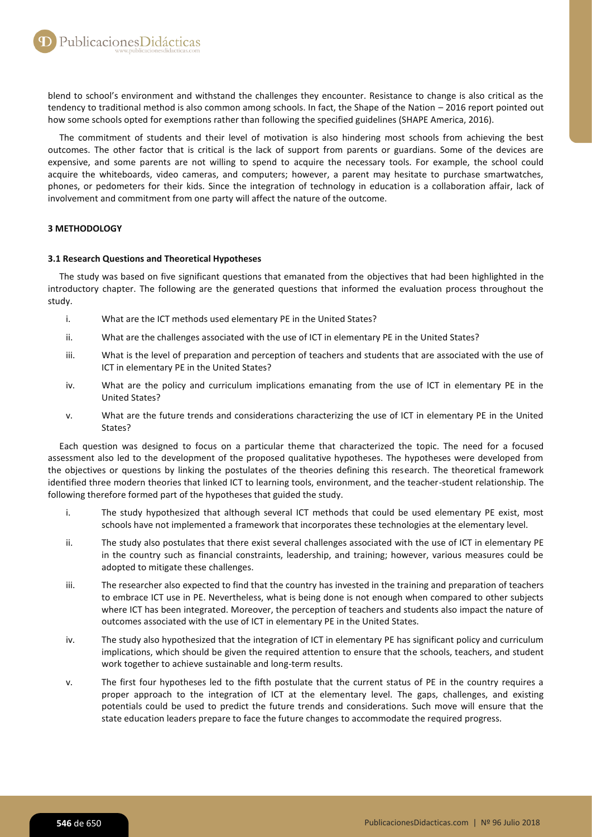blend to school's environment and withstand the challenges they encounter. Resistance to change is also critical as the tendency to traditional method is also common among schools. In fact, the Shape of the Nation – 2016 report pointed out how some schools opted for exemptions rather than following the specified guidelines (SHAPE America, 2016).

The commitment of students and their level of motivation is also hindering most schools from achieving the best outcomes. The other factor that is critical is the lack of support from parents or guardians. Some of the devices are expensive, and some parents are not willing to spend to acquire the necessary tools. For example, the school could acquire the whiteboards, video cameras, and computers; however, a parent may hesitate to purchase smartwatches, phones, or pedometers for their kids. Since the integration of technology in education is a collaboration affair, lack of involvement and commitment from one party will affect the nature of the outcome.

# **3 METHODOLOGY**

# **3.1 Research Questions and Theoretical Hypotheses**

The study was based on five significant questions that emanated from the objectives that had been highlighted in the introductory chapter. The following are the generated questions that informed the evaluation process throughout the study.

- i. What are the ICT methods used elementary PE in the United States?
- ii. What are the challenges associated with the use of ICT in elementary PE in the United States?
- iii. What is the level of preparation and perception of teachers and students that are associated with the use of ICT in elementary PE in the United States?
- iv. What are the policy and curriculum implications emanating from the use of ICT in elementary PE in the United States?
- v. What are the future trends and considerations characterizing the use of ICT in elementary PE in the United States?

Each question was designed to focus on a particular theme that characterized the topic. The need for a focused assessment also led to the development of the proposed qualitative hypotheses. The hypotheses were developed from the objectives or questions by linking the postulates of the theories defining this research. The theoretical framework identified three modern theories that linked ICT to learning tools, environment, and the teacher-student relationship. The following therefore formed part of the hypotheses that guided the study.

- i. The study hypothesized that although several ICT methods that could be used elementary PE exist, most schools have not implemented a framework that incorporates these technologies at the elementary level.
- ii. The study also postulates that there exist several challenges associated with the use of ICT in elementary PE in the country such as financial constraints, leadership, and training; however, various measures could be adopted to mitigate these challenges.
- iii. The researcher also expected to find that the country has invested in the training and preparation of teachers to embrace ICT use in PE. Nevertheless, what is being done is not enough when compared to other subjects where ICT has been integrated. Moreover, the perception of teachers and students also impact the nature of outcomes associated with the use of ICT in elementary PE in the United States.
- iv. The study also hypothesized that the integration of ICT in elementary PE has significant policy and curriculum implications, which should be given the required attention to ensure that the schools, teachers, and student work together to achieve sustainable and long-term results.
- v. The first four hypotheses led to the fifth postulate that the current status of PE in the country requires a proper approach to the integration of ICT at the elementary level. The gaps, challenges, and existing potentials could be used to predict the future trends and considerations. Such move will ensure that the state education leaders prepare to face the future changes to accommodate the required progress.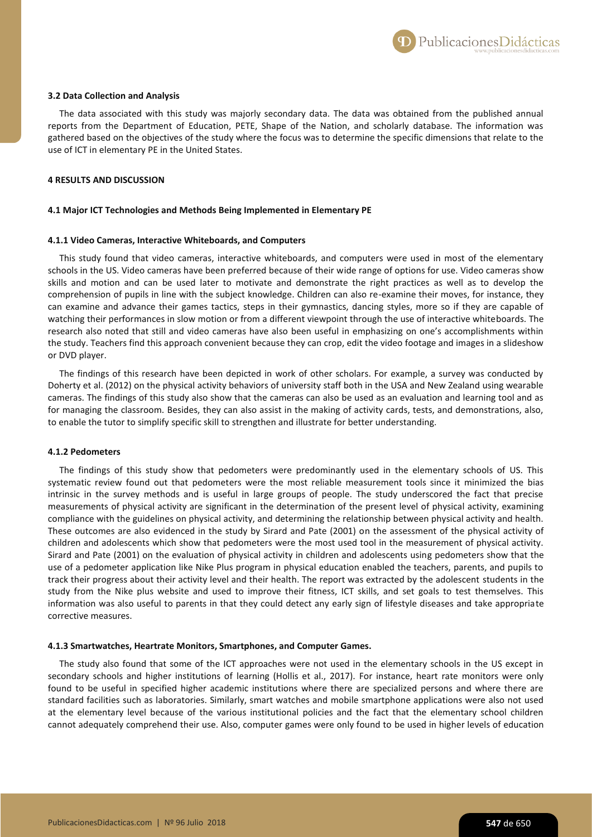PublicacionesDidácticas

### **3.2 Data Collection and Analysis**

The data associated with this study was majorly secondary data. The data was obtained from the published annual reports from the Department of Education, PETE, Shape of the Nation, and scholarly database. The information was gathered based on the objectives of the study where the focus was to determine the specific dimensions that relate to the use of ICT in elementary PE in the United States.

# **4 RESULTS AND DISCUSSION**

#### **4.1 Major ICT Technologies and Methods Being Implemented in Elementary PE**

#### **4.1.1 Video Cameras, Interactive Whiteboards, and Computers**

This study found that video cameras, interactive whiteboards, and computers were used in most of the elementary schools in the US. Video cameras have been preferred because of their wide range of options for use. Video cameras show skills and motion and can be used later to motivate and demonstrate the right practices as well as to develop the comprehension of pupils in line with the subject knowledge. Children can also re-examine their moves, for instance, they can examine and advance their games tactics, steps in their gymnastics, dancing styles, more so if they are capable of watching their performances in slow motion or from a different viewpoint through the use of interactive whiteboards. The research also noted that still and video cameras have also been useful in emphasizing on one's accomplishments within the study. Teachers find this approach convenient because they can crop, edit the video footage and images in a slideshow or DVD player.

The findings of this research have been depicted in work of other scholars. For example, a survey was conducted by Doherty et al. (2012) on the physical activity behaviors of university staff both in the USA and New Zealand using wearable cameras. The findings of this study also show that the cameras can also be used as an evaluation and learning tool and as for managing the classroom. Besides, they can also assist in the making of activity cards, tests, and demonstrations, also, to enable the tutor to simplify specific skill to strengthen and illustrate for better understanding.

## **4.1.2 Pedometers**

The findings of this study show that pedometers were predominantly used in the elementary schools of US. This systematic review found out that pedometers were the most reliable measurement tools since it minimized the bias intrinsic in the survey methods and is useful in large groups of people. The study underscored the fact that precise measurements of physical activity are significant in the determination of the present level of physical activity, examining compliance with the guidelines on physical activity, and determining the relationship between physical activity and health. These outcomes are also evidenced in the study by Sirard and Pate (2001) on the assessment of the physical activity of children and adolescents which show that pedometers were the most used tool in the measurement of physical activity. Sirard and Pate (2001) on the evaluation of physical activity in children and adolescents using pedometers show that the use of a pedometer application like Nike Plus program in physical education enabled the teachers, parents, and pupils to track their progress about their activity level and their health. The report was extracted by the adolescent students in the study from the Nike plus website and used to improve their fitness, ICT skills, and set goals to test themselves. This information was also useful to parents in that they could detect any early sign of lifestyle diseases and take appropriate corrective measures.

#### **4.1.3 Smartwatches, Heartrate Monitors, Smartphones, and Computer Games.**

The study also found that some of the ICT approaches were not used in the elementary schools in the US except in secondary schools and higher institutions of learning (Hollis et al., 2017). For instance, heart rate monitors were only found to be useful in specified higher academic institutions where there are specialized persons and where there are standard facilities such as laboratories. Similarly, smart watches and mobile smartphone applications were also not used at the elementary level because of the various institutional policies and the fact that the elementary school children cannot adequately comprehend their use. Also, computer games were only found to be used in higher levels of education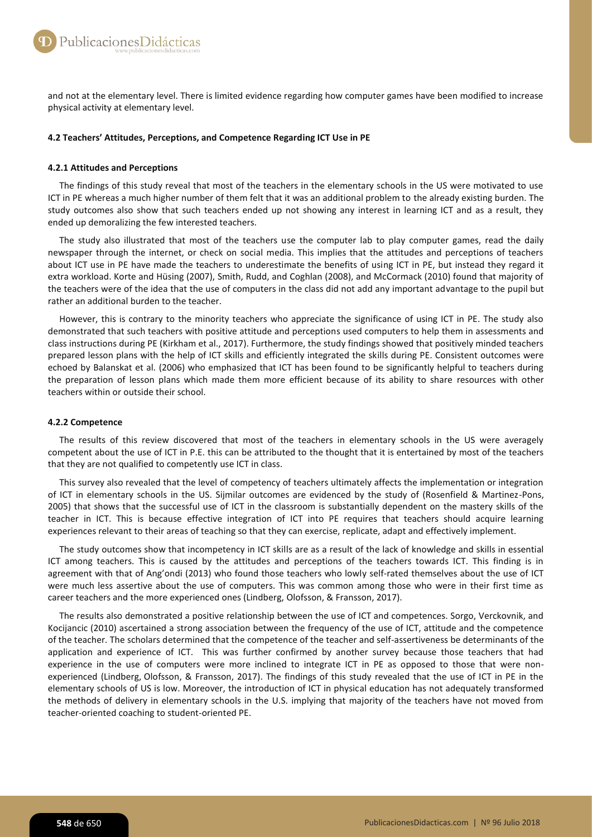and not at the elementary level. There is limited evidence regarding how computer games have been modified to increase physical activity at elementary level.

## **4.2 Teachers' Attitudes, Perceptions, and Competence Regarding ICT Use in PE**

## **4.2.1 Attitudes and Perceptions**

The findings of this study reveal that most of the teachers in the elementary schools in the US were motivated to use ICT in PE whereas a much higher number of them felt that it was an additional problem to the already existing burden. The study outcomes also show that such teachers ended up not showing any interest in learning ICT and as a result, they ended up demoralizing the few interested teachers.

The study also illustrated that most of the teachers use the computer lab to play computer games, read the daily newspaper through the internet, or check on social media. This implies that the attitudes and perceptions of teachers about ICT use in PE have made the teachers to underestimate the benefits of using ICT in PE, but instead they regard it extra workload. Korte and Hüsing (2007), Smith, Rudd, and Coghlan (2008), and McCormack (2010) found that majority of the teachers were of the idea that the use of computers in the class did not add any important advantage to the pupil but rather an additional burden to the teacher.

However, this is contrary to the minority teachers who appreciate the significance of using ICT in PE. The study also demonstrated that such teachers with positive attitude and perceptions used computers to help them in assessments and class instructions during PE (Kirkham et al., 2017). Furthermore, the study findings showed that positively minded teachers prepared lesson plans with the help of ICT skills and efficiently integrated the skills during PE. Consistent outcomes were echoed by Balanskat et al. (2006) who emphasized that ICT has been found to be significantly helpful to teachers during the preparation of lesson plans which made them more efficient because of its ability to share resources with other teachers within or outside their school.

## **4.2.2 Competence**

The results of this review discovered that most of the teachers in elementary schools in the US were averagely competent about the use of ICT in P.E. this can be attributed to the thought that it is entertained by most of the teachers that they are not qualified to competently use ICT in class.

This survey also revealed that the level of competency of teachers ultimately affects the implementation or integration of ICT in elementary schools in the US. Sijmilar outcomes are evidenced by the study of (Rosenfield & Martinez-Pons, 2005) that shows that the successful use of ICT in the classroom is substantially dependent on the mastery skills of the teacher in ICT. This is because effective integration of ICT into PE requires that teachers should acquire learning experiences relevant to their areas of teaching so that they can exercise, replicate, adapt and effectively implement.

The study outcomes show that incompetency in ICT skills are as a result of the lack of knowledge and skills in essential ICT among teachers. This is caused by the attitudes and perceptions of the teachers towards ICT. This finding is in agreement with that of Ang'ondi (2013) who found those teachers who lowly self-rated themselves about the use of ICT were much less assertive about the use of computers. This was common among those who were in their first time as career teachers and the more experienced ones (Lindberg, Olofsson, & Fransson, 2017).

The results also demonstrated a positive relationship between the use of ICT and competences. Sorgo, Verckovnik, and Kocijancic (2010) ascertained a strong association between the frequency of the use of ICT, attitude and the competence of the teacher. The scholars determined that the competence of the teacher and self-assertiveness be determinants of the application and experience of ICT. This was further confirmed by another survey because those teachers that had experience in the use of computers were more inclined to integrate ICT in PE as opposed to those that were nonexperienced (Lindberg, Olofsson, & Fransson, 2017). The findings of this study revealed that the use of ICT in PE in the elementary schools of US is low. Moreover, the introduction of ICT in physical education has not adequately transformed the methods of delivery in elementary schools in the U.S. implying that majority of the teachers have not moved from teacher-oriented coaching to student-oriented PE.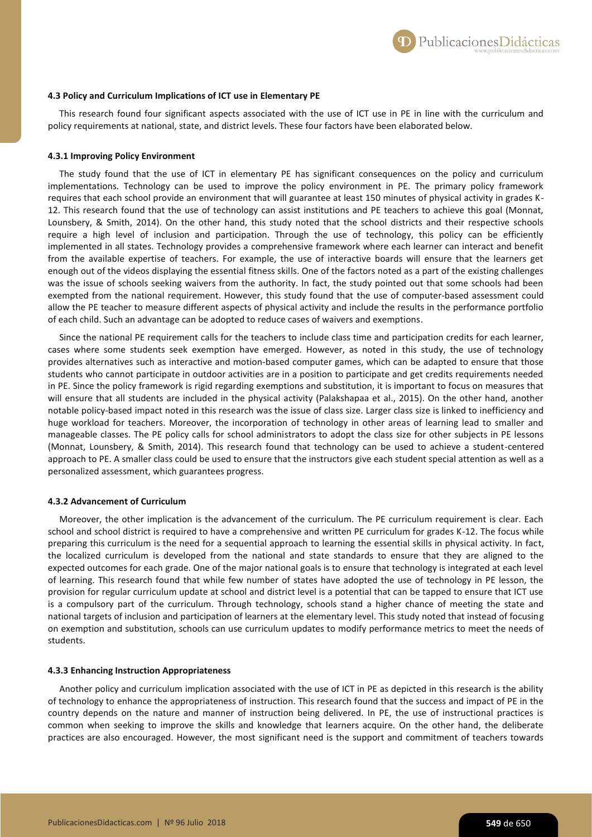

# **4.3 Policy and Curriculum Implications of ICT use in Elementary PE**

This research found four significant aspects associated with the use of ICT use in PE in line with the curriculum and policy requirements at national, state, and district levels. These four factors have been elaborated below.

#### **4.3.1 Improving Policy Environment**

The study found that the use of ICT in elementary PE has significant consequences on the policy and curriculum implementations. Technology can be used to improve the policy environment in PE. The primary policy framework requires that each school provide an environment that will guarantee at least 150 minutes of physical activity in grades K-12. This research found that the use of technology can assist institutions and PE teachers to achieve this goal (Monnat, Lounsbery, & Smith, 2014). On the other hand, this study noted that the school districts and their respective schools require a high level of inclusion and participation. Through the use of technology, this policy can be efficiently implemented in all states. Technology provides a comprehensive framework where each learner can interact and benefit from the available expertise of teachers. For example, the use of interactive boards will ensure that the learners get enough out of the videos displaying the essential fitness skills. One of the factors noted as a part of the existing challenges was the issue of schools seeking waivers from the authority. In fact, the study pointed out that some schools had been exempted from the national requirement. However, this study found that the use of computer-based assessment could allow the PE teacher to measure different aspects of physical activity and include the results in the performance portfolio of each child. Such an advantage can be adopted to reduce cases of waivers and exemptions.

Since the national PE requirement calls for the teachers to include class time and participation credits for each learner, cases where some students seek exemption have emerged. However, as noted in this study, the use of technology provides alternatives such as interactive and motion-based computer games, which can be adapted to ensure that those students who cannot participate in outdoor activities are in a position to participate and get credits requirements needed in PE. Since the policy framework is rigid regarding exemptions and substitution, it is important to focus on measures that will ensure that all students are included in the physical activity (Palakshapaa et al., 2015). On the other hand, another notable policy-based impact noted in this research was the issue of class size. Larger class size is linked to inefficiency and huge workload for teachers. Moreover, the incorporation of technology in other areas of learning lead to smaller and manageable classes. The PE policy calls for school administrators to adopt the class size for other subjects in PE lessons (Monnat, Lounsbery, & Smith, 2014). This research found that technology can be used to achieve a student-centered approach to PE. A smaller class could be used to ensure that the instructors give each student special attention as well as a personalized assessment, which guarantees progress.

#### **4.3.2 Advancement of Curriculum**

Moreover, the other implication is the advancement of the curriculum. The PE curriculum requirement is clear. Each school and school district is required to have a comprehensive and written PE curriculum for grades K-12. The focus while preparing this curriculum is the need for a sequential approach to learning the essential skills in physical activity. In fact, the localized curriculum is developed from the national and state standards to ensure that they are aligned to the expected outcomes for each grade. One of the major national goals is to ensure that technology is integrated at each level of learning. This research found that while few number of states have adopted the use of technology in PE lesson, the provision for regular curriculum update at school and district level is a potential that can be tapped to ensure that ICT use is a compulsory part of the curriculum. Through technology, schools stand a higher chance of meeting the state and national targets of inclusion and participation of learners at the elementary level. This study noted that instead of focusing on exemption and substitution, schools can use curriculum updates to modify performance metrics to meet the needs of students.

#### **4.3.3 Enhancing Instruction Appropriateness**

Another policy and curriculum implication associated with the use of ICT in PE as depicted in this research is the ability of technology to enhance the appropriateness of instruction. This research found that the success and impact of PE in the country depends on the nature and manner of instruction being delivered. In PE, the use of instructional practices is common when seeking to improve the skills and knowledge that learners acquire. On the other hand, the deliberate practices are also encouraged. However, the most significant need is the support and commitment of teachers towards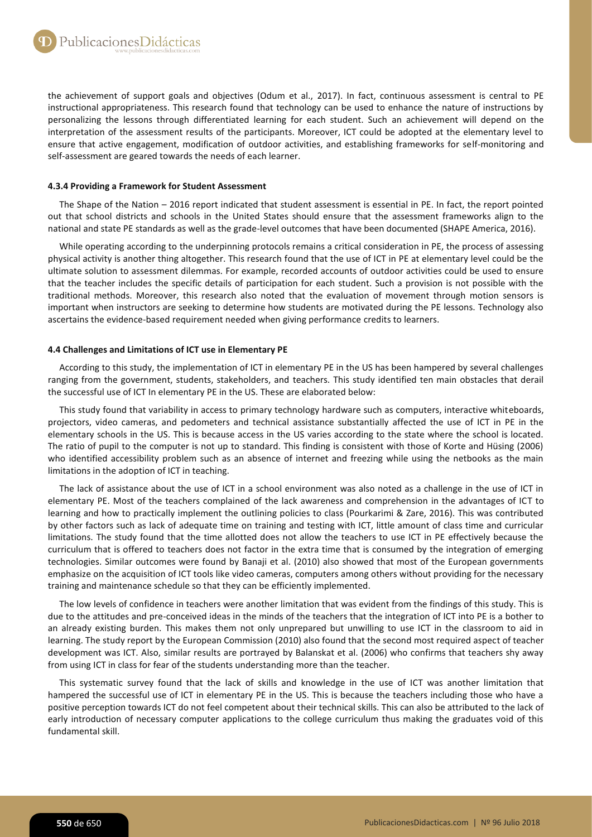the achievement of support goals and objectives (Odum et al., 2017). In fact, continuous assessment is central to PE instructional appropriateness. This research found that technology can be used to enhance the nature of instructions by personalizing the lessons through differentiated learning for each student. Such an achievement will depend on the interpretation of the assessment results of the participants. Moreover, ICT could be adopted at the elementary level to ensure that active engagement, modification of outdoor activities, and establishing frameworks for self-monitoring and self-assessment are geared towards the needs of each learner.

# **4.3.4 Providing a Framework for Student Assessment**

The Shape of the Nation – 2016 report indicated that student assessment is essential in PE. In fact, the report pointed out that school districts and schools in the United States should ensure that the assessment frameworks align to the national and state PE standards as well as the grade-level outcomes that have been documented (SHAPE America, 2016).

While operating according to the underpinning protocols remains a critical consideration in PE, the process of assessing physical activity is another thing altogether. This research found that the use of ICT in PE at elementary level could be the ultimate solution to assessment dilemmas. For example, recorded accounts of outdoor activities could be used to ensure that the teacher includes the specific details of participation for each student. Such a provision is not possible with the traditional methods. Moreover, this research also noted that the evaluation of movement through motion sensors is important when instructors are seeking to determine how students are motivated during the PE lessons. Technology also ascertains the evidence-based requirement needed when giving performance credits to learners.

#### **4.4 Challenges and Limitations of ICT use in Elementary PE**

According to this study, the implementation of ICT in elementary PE in the US has been hampered by several challenges ranging from the government, students, stakeholders, and teachers. This study identified ten main obstacles that derail the successful use of ICT In elementary PE in the US. These are elaborated below:

This study found that variability in access to primary technology hardware such as computers, interactive whiteboards, projectors, video cameras, and pedometers and technical assistance substantially affected the use of ICT in PE in the elementary schools in the US. This is because access in the US varies according to the state where the school is located. The ratio of pupil to the computer is not up to standard. This finding is consistent with those of Korte and Hüsing (2006) who identified accessibility problem such as an absence of internet and freezing while using the netbooks as the main limitations in the adoption of ICT in teaching.

The lack of assistance about the use of ICT in a school environment was also noted as a challenge in the use of ICT in elementary PE. Most of the teachers complained of the lack awareness and comprehension in the advantages of ICT to learning and how to practically implement the outlining policies to class (Pourkarimi & Zare, 2016). This was contributed by other factors such as lack of adequate time on training and testing with ICT, little amount of class time and curricular limitations. The study found that the time allotted does not allow the teachers to use ICT in PE effectively because the curriculum that is offered to teachers does not factor in the extra time that is consumed by the integration of emerging technologies. Similar outcomes were found by Banaji et al. (2010) also showed that most of the European governments emphasize on the acquisition of ICT tools like video cameras, computers among others without providing for the necessary training and maintenance schedule so that they can be efficiently implemented.

The low levels of confidence in teachers were another limitation that was evident from the findings of this study. This is due to the attitudes and pre-conceived ideas in the minds of the teachers that the integration of ICT into PE is a bother to an already existing burden. This makes them not only unprepared but unwilling to use ICT in the classroom to aid in learning. The study report by the European Commission (2010) also found that the second most required aspect of teacher development was ICT. Also, similar results are portrayed by Balanskat et al. (2006) who confirms that teachers shy away from using ICT in class for fear of the students understanding more than the teacher.

This systematic survey found that the lack of skills and knowledge in the use of ICT was another limitation that hampered the successful use of ICT in elementary PE in the US. This is because the teachers including those who have a positive perception towards ICT do not feel competent about their technical skills. This can also be attributed to the lack of early introduction of necessary computer applications to the college curriculum thus making the graduates void of this fundamental skill.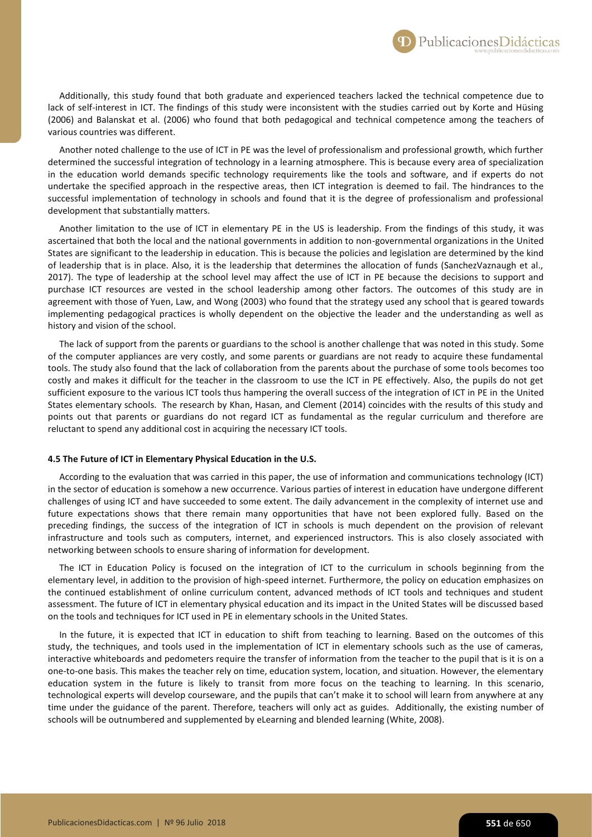Additionally, this study found that both graduate and experienced teachers lacked the technical competence due to lack of self-interest in ICT. The findings of this study were inconsistent with the studies carried out by Korte and Hüsing (2006) and Balanskat et al. (2006) who found that both pedagogical and technical competence among the teachers of various countries was different.

Another noted challenge to the use of ICT in PE was the level of professionalism and professional growth, which further determined the successful integration of technology in a learning atmosphere. This is because every area of specialization in the education world demands specific technology requirements like the tools and software, and if experts do not undertake the specified approach in the respective areas, then ICT integration is deemed to fail. The hindrances to the successful implementation of technology in schools and found that it is the degree of professionalism and professional development that substantially matters.

Another limitation to the use of ICT in elementary PE in the US is leadership. From the findings of this study, it was ascertained that both the local and the national governments in addition to non-governmental organizations in the United States are significant to the leadership in education. This is because the policies and legislation are determined by the kind of leadership that is in place. Also, it is the leadership that determines the allocation of funds (SanchezVaznaugh et al., 2017). The type of leadership at the school level may affect the use of ICT in PE because the decisions to support and purchase ICT resources are vested in the school leadership among other factors. The outcomes of this study are in agreement with those of Yuen, Law, and Wong (2003) who found that the strategy used any school that is geared towards implementing pedagogical practices is wholly dependent on the objective the leader and the understanding as well as history and vision of the school.

The lack of support from the parents or guardians to the school is another challenge that was noted in this study. Some of the computer appliances are very costly, and some parents or guardians are not ready to acquire these fundamental tools. The study also found that the lack of collaboration from the parents about the purchase of some tools becomes too costly and makes it difficult for the teacher in the classroom to use the ICT in PE effectively. Also, the pupils do not get sufficient exposure to the various ICT tools thus hampering the overall success of the integration of ICT in PE in the United States elementary schools. The research by Khan, Hasan, and Clement (2014) coincides with the results of this study and points out that parents or guardians do not regard ICT as fundamental as the regular curriculum and therefore are reluctant to spend any additional cost in acquiring the necessary ICT tools.

#### **4.5 The Future of ICT in Elementary Physical Education in the U.S.**

According to the evaluation that was carried in this paper, the use of information and communications technology (ICT) in the sector of education is somehow a new occurrence. Various parties of interest in education have undergone different challenges of using ICT and have succeeded to some extent. The daily advancement in the complexity of internet use and future expectations shows that there remain many opportunities that have not been explored fully. Based on the preceding findings, the success of the integration of ICT in schools is much dependent on the provision of relevant infrastructure and tools such as computers, internet, and experienced instructors. This is also closely associated with networking between schools to ensure sharing of information for development.

The ICT in Education Policy is focused on the integration of ICT to the curriculum in schools beginning from the elementary level, in addition to the provision of high-speed internet. Furthermore, the policy on education emphasizes on the continued establishment of online curriculum content, advanced methods of ICT tools and techniques and student assessment. The future of ICT in elementary physical education and its impact in the United States will be discussed based on the tools and techniques for ICT used in PE in elementary schools in the United States.

In the future, it is expected that ICT in education to shift from teaching to learning. Based on the outcomes of this study, the techniques, and tools used in the implementation of ICT in elementary schools such as the use of cameras, interactive whiteboards and pedometers require the transfer of information from the teacher to the pupil that is it is on a one-to-one basis. This makes the teacher rely on time, education system, location, and situation. However, the elementary education system in the future is likely to transit from more focus on the teaching to learning. In this scenario, technological experts will develop courseware, and the pupils that can't make it to school will learn from anywhere at any time under the guidance of the parent. Therefore, teachers will only act as guides. Additionally, the existing number of schools will be outnumbered and supplemented by eLearning and blended learning (White, 2008).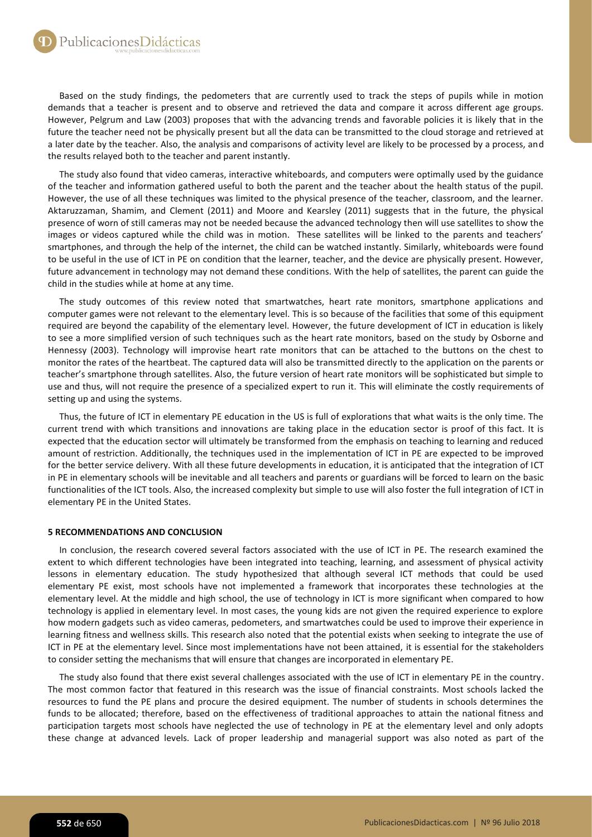Based on the study findings, the pedometers that are currently used to track the steps of pupils while in motion demands that a teacher is present and to observe and retrieved the data and compare it across different age groups. However, Pelgrum and Law (2003) proposes that with the advancing trends and favorable policies it is likely that in the future the teacher need not be physically present but all the data can be transmitted to the cloud storage and retrieved at a later date by the teacher. Also, the analysis and comparisons of activity level are likely to be processed by a process, and the results relayed both to the teacher and parent instantly.

The study also found that video cameras, interactive whiteboards, and computers were optimally used by the guidance of the teacher and information gathered useful to both the parent and the teacher about the health status of the pupil. However, the use of all these techniques was limited to the physical presence of the teacher, classroom, and the learner. Aktaruzzaman, Shamim, and Clement (2011) and Moore and Kearsley (2011) suggests that in the future, the physical presence of worn of still cameras may not be needed because the advanced technology then will use satellites to show the images or videos captured while the child was in motion. These satellites will be linked to the parents and teachers' smartphones, and through the help of the internet, the child can be watched instantly. Similarly, whiteboards were found to be useful in the use of ICT in PE on condition that the learner, teacher, and the device are physically present. However, future advancement in technology may not demand these conditions. With the help of satellites, the parent can guide the child in the studies while at home at any time.

The study outcomes of this review noted that smartwatches, heart rate monitors, smartphone applications and computer games were not relevant to the elementary level. This is so because of the facilities that some of this equipment required are beyond the capability of the elementary level. However, the future development of ICT in education is likely to see a more simplified version of such techniques such as the heart rate monitors, based on the study by Osborne and Hennessy (2003). Technology will improvise heart rate monitors that can be attached to the buttons on the chest to monitor the rates of the heartbeat. The captured data will also be transmitted directly to the application on the parents or teacher's smartphone through satellites. Also, the future version of heart rate monitors will be sophisticated but simple to use and thus, will not require the presence of a specialized expert to run it. This will eliminate the costly requirements of setting up and using the systems.

Thus, the future of ICT in elementary PE education in the US is full of explorations that what waits is the only time. The current trend with which transitions and innovations are taking place in the education sector is proof of this fact. It is expected that the education sector will ultimately be transformed from the emphasis on teaching to learning and reduced amount of restriction. Additionally, the techniques used in the implementation of ICT in PE are expected to be improved for the better service delivery. With all these future developments in education, it is anticipated that the integration of ICT in PE in elementary schools will be inevitable and all teachers and parents or guardians will be forced to learn on the basic functionalities of the ICT tools. Also, the increased complexity but simple to use will also foster the full integration of ICT in elementary PE in the United States.

# **5 RECOMMENDATIONS AND CONCLUSION**

In conclusion, the research covered several factors associated with the use of ICT in PE. The research examined the extent to which different technologies have been integrated into teaching, learning, and assessment of physical activity lessons in elementary education. The study hypothesized that although several ICT methods that could be used elementary PE exist, most schools have not implemented a framework that incorporates these technologies at the elementary level. At the middle and high school, the use of technology in ICT is more significant when compared to how technology is applied in elementary level. In most cases, the young kids are not given the required experience to explore how modern gadgets such as video cameras, pedometers, and smartwatches could be used to improve their experience in learning fitness and wellness skills. This research also noted that the potential exists when seeking to integrate the use of ICT in PE at the elementary level. Since most implementations have not been attained, it is essential for the stakeholders to consider setting the mechanisms that will ensure that changes are incorporated in elementary PE.

The study also found that there exist several challenges associated with the use of ICT in elementary PE in the country. The most common factor that featured in this research was the issue of financial constraints. Most schools lacked the resources to fund the PE plans and procure the desired equipment. The number of students in schools determines the funds to be allocated; therefore, based on the effectiveness of traditional approaches to attain the national fitness and participation targets most schools have neglected the use of technology in PE at the elementary level and only adopts these change at advanced levels. Lack of proper leadership and managerial support was also noted as part of the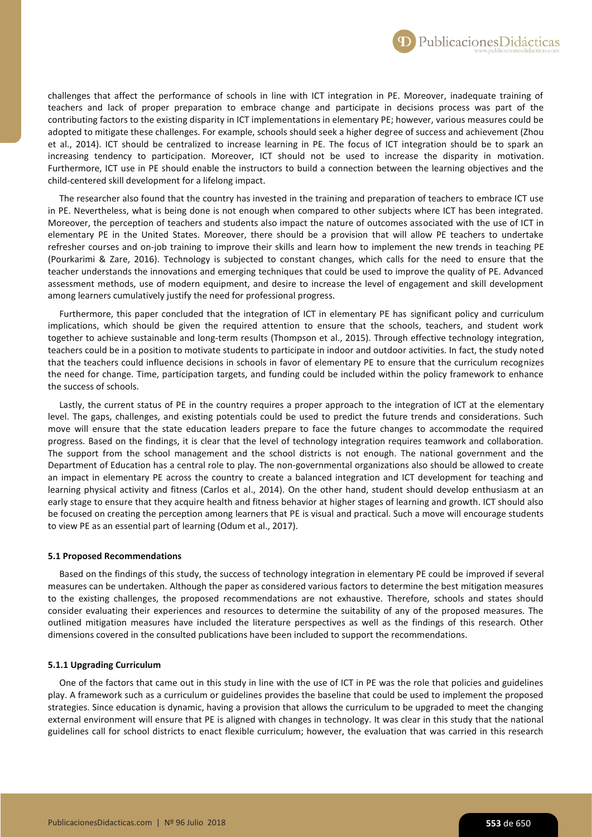challenges that affect the performance of schools in line with ICT integration in PE. Moreover, inadequate training of teachers and lack of proper preparation to embrace change and participate in decisions process was part of the contributing factors to the existing disparity in ICT implementations in elementary PE; however, various measures could be adopted to mitigate these challenges. For example, schools should seek a higher degree of success and achievement (Zhou et al., 2014). ICT should be centralized to increase learning in PE. The focus of ICT integration should be to spark an increasing tendency to participation. Moreover, ICT should not be used to increase the disparity in motivation. Furthermore, ICT use in PE should enable the instructors to build a connection between the learning objectives and the child-centered skill development for a lifelong impact.

The researcher also found that the country has invested in the training and preparation of teachers to embrace ICT use in PE. Nevertheless, what is being done is not enough when compared to other subjects where ICT has been integrated. Moreover, the perception of teachers and students also impact the nature of outcomes associated with the use of ICT in elementary PE in the United States. Moreover, there should be a provision that will allow PE teachers to undertake refresher courses and on-job training to improve their skills and learn how to implement the new trends in teaching PE (Pourkarimi & Zare, 2016). Technology is subjected to constant changes, which calls for the need to ensure that the teacher understands the innovations and emerging techniques that could be used to improve the quality of PE. Advanced assessment methods, use of modern equipment, and desire to increase the level of engagement and skill development among learners cumulatively justify the need for professional progress.

Furthermore, this paper concluded that the integration of ICT in elementary PE has significant policy and curriculum implications, which should be given the required attention to ensure that the schools, teachers, and student work together to achieve sustainable and long-term results (Thompson et al., 2015). Through effective technology integration, teachers could be in a position to motivate students to participate in indoor and outdoor activities. In fact, the study noted that the teachers could influence decisions in schools in favor of elementary PE to ensure that the curriculum recognizes the need for change. Time, participation targets, and funding could be included within the policy framework to enhance the success of schools.

Lastly, the current status of PE in the country requires a proper approach to the integration of ICT at the elementary level. The gaps, challenges, and existing potentials could be used to predict the future trends and considerations. Such move will ensure that the state education leaders prepare to face the future changes to accommodate the required progress. Based on the findings, it is clear that the level of technology integration requires teamwork and collaboration. The support from the school management and the school districts is not enough. The national government and the Department of Education has a central role to play. The non-governmental organizations also should be allowed to create an impact in elementary PE across the country to create a balanced integration and ICT development for teaching and learning physical activity and fitness (Carlos et al., 2014). On the other hand, student should develop enthusiasm at an early stage to ensure that they acquire health and fitness behavior at higher stages of learning and growth. ICT should also be focused on creating the perception among learners that PE is visual and practical. Such a move will encourage students to view PE as an essential part of learning (Odum et al., 2017).

#### **5.1 Proposed Recommendations**

Based on the findings of this study, the success of technology integration in elementary PE could be improved if several measures can be undertaken. Although the paper as considered various factors to determine the best mitigation measures to the existing challenges, the proposed recommendations are not exhaustive. Therefore, schools and states should consider evaluating their experiences and resources to determine the suitability of any of the proposed measures. The outlined mitigation measures have included the literature perspectives as well as the findings of this research. Other dimensions covered in the consulted publications have been included to support the recommendations.

# **5.1.1 Upgrading Curriculum**

One of the factors that came out in this study in line with the use of ICT in PE was the role that policies and guidelines play. A framework such as a curriculum or guidelines provides the baseline that could be used to implement the proposed strategies. Since education is dynamic, having a provision that allows the curriculum to be upgraded to meet the changing external environment will ensure that PE is aligned with changes in technology. It was clear in this study that the national guidelines call for school districts to enact flexible curriculum; however, the evaluation that was carried in this research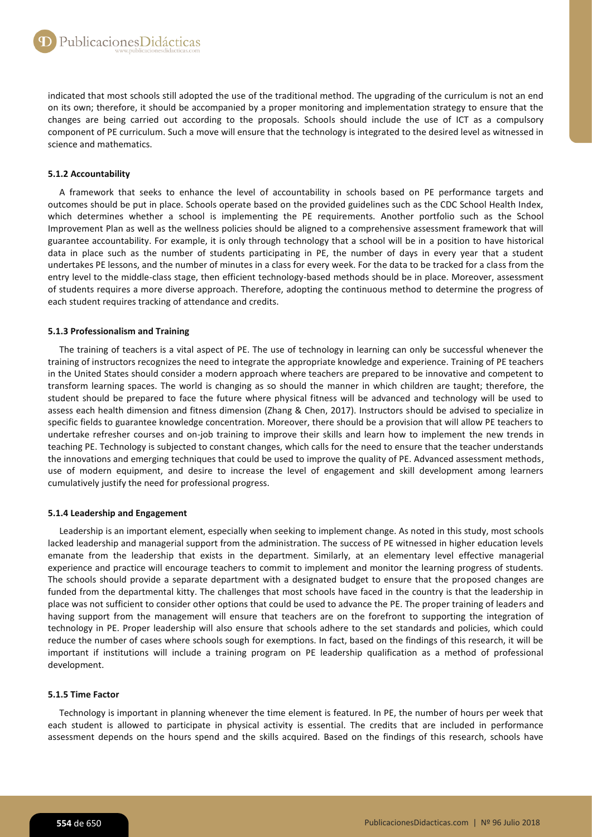indicated that most schools still adopted the use of the traditional method. The upgrading of the curriculum is not an end on its own; therefore, it should be accompanied by a proper monitoring and implementation strategy to ensure that the changes are being carried out according to the proposals. Schools should include the use of ICT as a compulsory component of PE curriculum. Such a move will ensure that the technology is integrated to the desired level as witnessed in science and mathematics.

# **5.1.2 Accountability**

A framework that seeks to enhance the level of accountability in schools based on PE performance targets and outcomes should be put in place. Schools operate based on the provided guidelines such as the CDC School Health Index, which determines whether a school is implementing the PE requirements. Another portfolio such as the School Improvement Plan as well as the wellness policies should be aligned to a comprehensive assessment framework that will guarantee accountability. For example, it is only through technology that a school will be in a position to have historical data in place such as the number of students participating in PE, the number of days in every year that a student undertakes PE lessons, and the number of minutes in a class for every week. For the data to be tracked for a class from the entry level to the middle-class stage, then efficient technology-based methods should be in place. Moreover, assessment of students requires a more diverse approach. Therefore, adopting the continuous method to determine the progress of each student requires tracking of attendance and credits.

# **5.1.3 Professionalism and Training**

The training of teachers is a vital aspect of PE. The use of technology in learning can only be successful whenever the training of instructors recognizes the need to integrate the appropriate knowledge and experience. Training of PE teachers in the United States should consider a modern approach where teachers are prepared to be innovative and competent to transform learning spaces. The world is changing as so should the manner in which children are taught; therefore, the student should be prepared to face the future where physical fitness will be advanced and technology will be used to assess each health dimension and fitness dimension (Zhang & Chen, 2017). Instructors should be advised to specialize in specific fields to guarantee knowledge concentration. Moreover, there should be a provision that will allow PE teachers to undertake refresher courses and on-job training to improve their skills and learn how to implement the new trends in teaching PE. Technology is subjected to constant changes, which calls for the need to ensure that the teacher understands the innovations and emerging techniques that could be used to improve the quality of PE. Advanced assessment methods, use of modern equipment, and desire to increase the level of engagement and skill development among learners cumulatively justify the need for professional progress.

# **5.1.4 Leadership and Engagement**

Leadership is an important element, especially when seeking to implement change. As noted in this study, most schools lacked leadership and managerial support from the administration. The success of PE witnessed in higher education levels emanate from the leadership that exists in the department. Similarly, at an elementary level effective managerial experience and practice will encourage teachers to commit to implement and monitor the learning progress of students. The schools should provide a separate department with a designated budget to ensure that the proposed changes are funded from the departmental kitty. The challenges that most schools have faced in the country is that the leadership in place was not sufficient to consider other options that could be used to advance the PE. The proper training of leaders and having support from the management will ensure that teachers are on the forefront to supporting the integration of technology in PE. Proper leadership will also ensure that schools adhere to the set standards and policies, which could reduce the number of cases where schools sough for exemptions. In fact, based on the findings of this research, it will be important if institutions will include a training program on PE leadership qualification as a method of professional development.

# **5.1.5 Time Factor**

Technology is important in planning whenever the time element is featured. In PE, the number of hours per week that each student is allowed to participate in physical activity is essential. The credits that are included in performance assessment depends on the hours spend and the skills acquired. Based on the findings of this research, schools have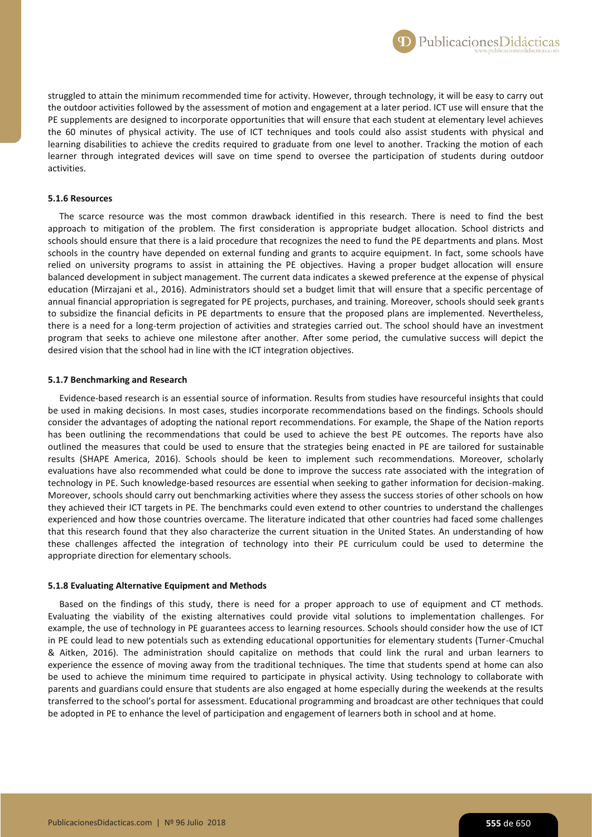struggled to attain the minimum recommended time for activity. However, through technology, it will be easy to carry out the outdoor activities followed by the assessment of motion and engagement at a later period. ICT use will ensure that the PE supplements are designed to incorporate opportunities that will ensure that each student at elementary level achieves the 60 minutes of physical activity. The use of ICT techniques and tools could also assist students with physical and learning disabilities to achieve the credits required to graduate from one level to another. Tracking the motion of each learner through integrated devices will save on time spend to oversee the participation of students during outdoor activities.

## **5.1.6 Resources**

The scarce resource was the most common drawback identified in this research. There is need to find the best approach to mitigation of the problem. The first consideration is appropriate budget allocation. School districts and schools should ensure that there is a laid procedure that recognizes the need to fund the PE departments and plans. Most schools in the country have depended on external funding and grants to acquire equipment. In fact, some schools have relied on university programs to assist in attaining the PE objectives. Having a proper budget allocation will ensure balanced development in subject management. The current data indicates a skewed preference at the expense of physical education (Mirzajani et al., 2016). Administrators should set a budget limit that will ensure that a specific percentage of annual financial appropriation is segregated for PE projects, purchases, and training. Moreover, schools should seek grants to subsidize the financial deficits in PE departments to ensure that the proposed plans are implemented. Nevertheless, there is a need for a long-term projection of activities and strategies carried out. The school should have an investment program that seeks to achieve one milestone after another. After some period, the cumulative success will depict the desired vision that the school had in line with the ICT integration objectives.

## **5.1.7 Benchmarking and Research**

Evidence-based research is an essential source of information. Results from studies have resourceful insights that could be used in making decisions. In most cases, studies incorporate recommendations based on the findings. Schools should consider the advantages of adopting the national report recommendations. For example, the Shape of the Nation reports has been outlining the recommendations that could be used to achieve the best PE outcomes. The reports have also outlined the measures that could be used to ensure that the strategies being enacted in PE are tailored for sustainable results (SHAPE America, 2016). Schools should be keen to implement such recommendations. Moreover, scholarly evaluations have also recommended what could be done to improve the success rate associated with the integration of technology in PE. Such knowledge-based resources are essential when seeking to gather information for decision-making. Moreover, schools should carry out benchmarking activities where they assess the success stories of other schools on how they achieved their ICT targets in PE. The benchmarks could even extend to other countries to understand the challenges experienced and how those countries overcame. The literature indicated that other countries had faced some challenges that this research found that they also characterize the current situation in the United States. An understanding of how these challenges affected the integration of technology into their PE curriculum could be used to determine the appropriate direction for elementary schools.

### **5.1.8 Evaluating Alternative Equipment and Methods**

Based on the findings of this study, there is need for a proper approach to use of equipment and CT methods. Evaluating the viability of the existing alternatives could provide vital solutions to implementation challenges. For example, the use of technology in PE guarantees access to learning resources. Schools should consider how the use of ICT in PE could lead to new potentials such as extending educational opportunities for elementary students (Turner-Cmuchal & Aitken, 2016). The administration should capitalize on methods that could link the rural and urban learners to experience the essence of moving away from the traditional techniques. The time that students spend at home can also be used to achieve the minimum time required to participate in physical activity. Using technology to collaborate with parents and guardians could ensure that students are also engaged at home especially during the weekends at the results transferred to the school's portal for assessment. Educational programming and broadcast are other techniques that could be adopted in PE to enhance the level of participation and engagement of learners both in school and at home.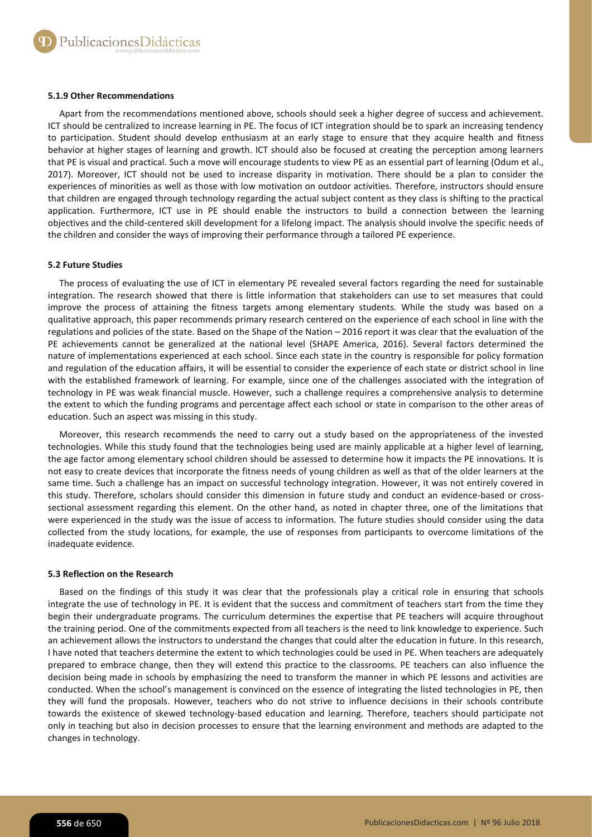## **5.1.9 Other Recommendations**

Apart from the recommendations mentioned above, schools should seek a higher degree of success and achievement. ICT should be centralized to increase learning in PE. The focus of ICT integration should be to spark an increasing tendency to participation. Student should develop enthusiasm at an early stage to ensure that they acquire health and fitness behavior at higher stages of learning and growth. ICT should also be focused at creating the perception among learners that PE is visual and practical. Such a move will encourage students to view PE as an essential part of learning (Odum et al., 2017). Moreover, ICT should not be used to increase disparity in motivation. There should be a plan to consider the experiences of minorities as well as those with low motivation on outdoor activities. Therefore, instructors should ensure that children are engaged through technology regarding the actual subject content as they class is shifting to the practical application. Furthermore, ICT use in PE should enable the instructors to build a connection between the learning objectives and the child-centered skill development for a lifelong impact. The analysis should involve the specific needs of the children and consider the ways of improving their performance through a tailored PE experience.

## **5.2 Future Studies**

The process of evaluating the use of ICT in elementary PE revealed several factors regarding the need for sustainable integration. The research showed that there is little information that stakeholders can use to set measures that could improve the process of attaining the fitness targets among elementary students. While the study was based on a qualitative approach, this paper recommends primary research centered on the experience of each school in line with the regulations and policies of the state. Based on the Shape of the Nation – 2016 report it was clear that the evaluation of the PE achievements cannot be generalized at the national level (SHAPE America, 2016). Several factors determined the nature of implementations experienced at each school. Since each state in the country is responsible for policy formation and regulation of the education affairs, it will be essential to consider the experience of each state or district school in line with the established framework of learning. For example, since one of the challenges associated with the integration of technology in PE was weak financial muscle. However, such a challenge requires a comprehensive analysis to determine the extent to which the funding programs and percentage affect each school or state in comparison to the other areas of education. Such an aspect was missing in this study.

Moreover, this research recommends the need to carry out a study based on the appropriateness of the invested technologies. While this study found that the technologies being used are mainly applicable at a higher level of learning, the age factor among elementary school children should be assessed to determine how it impacts the PE innovations. It is not easy to create devices that incorporate the fitness needs of young children as well as that of the older learners at the same time. Such a challenge has an impact on successful technology integration. However, it was not entirely covered in this study. Therefore, scholars should consider this dimension in future study and conduct an evidence-based or crosssectional assessment regarding this element. On the other hand, as noted in chapter three, one of the limitations that were experienced in the study was the issue of access to information. The future studies should consider using the data collected from the study locations, for example, the use of responses from participants to overcome limitations of the inadequate evidence.

#### **5.3 Reflection on the Research**

Based on the findings of this study it was clear that the professionals play a critical role in ensuring that schools integrate the use of technology in PE. It is evident that the success and commitment of teachers start from the time they begin their undergraduate programs. The curriculum determines the expertise that PE teachers will acquire throughout the training period. One of the commitments expected from all teachers is the need to link knowledge to experience. Such an achievement allows the instructors to understand the changes that could alter the education in future. In this research, I have noted that teachers determine the extent to which technologies could be used in PE. When teachers are adequately prepared to embrace change, then they will extend this practice to the classrooms. PE teachers can also influence the decision being made in schools by emphasizing the need to transform the manner in which PE lessons and activities are conducted. When the school's management is convinced on the essence of integrating the listed technologies in PE, then they will fund the proposals. However, teachers who do not strive to influence decisions in their schools contribute towards the existence of skewed technology-based education and learning. Therefore, teachers should participate not only in teaching but also in decision processes to ensure that the learning environment and methods are adapted to the changes in technology.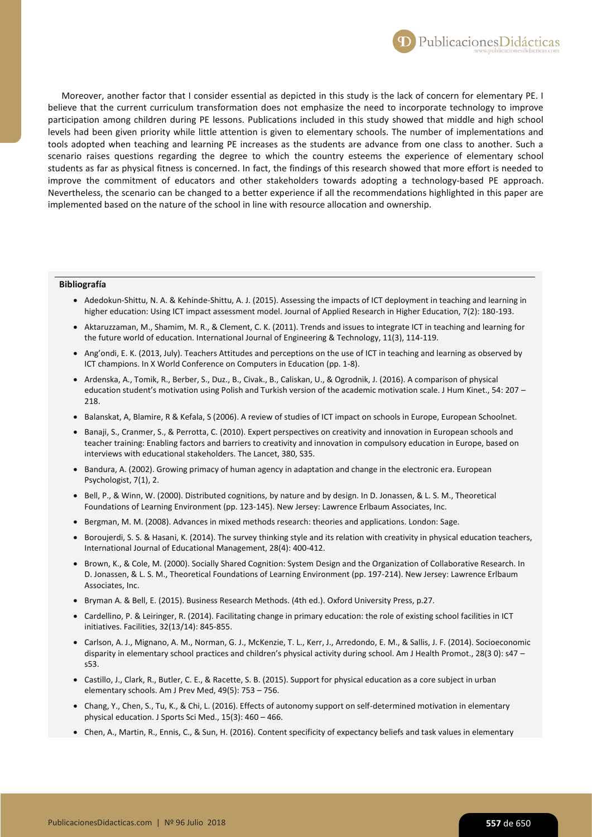

Moreover, another factor that I consider essential as depicted in this study is the lack of concern for elementary PE. I believe that the current curriculum transformation does not emphasize the need to incorporate technology to improve participation among children during PE lessons. Publications included in this study showed that middle and high school levels had been given priority while little attention is given to elementary schools. The number of implementations and tools adopted when teaching and learning PE increases as the students are advance from one class to another. Such a scenario raises questions regarding the degree to which the country esteems the experience of elementary school students as far as physical fitness is concerned. In fact, the findings of this research showed that more effort is needed to improve the commitment of educators and other stakeholders towards adopting a technology-based PE approach. Nevertheless, the scenario can be changed to a better experience if all the recommendations highlighted in this paper are implemented based on the nature of the school in line with resource allocation and ownership.

#### **Bibliografía**

- Adedokun-Shittu, N. A. & Kehinde-Shittu, A. J. (2015). Assessing the impacts of ICT deployment in teaching and learning in higher education: Using ICT impact assessment model. Journal of Applied Research in Higher Education, 7(2): 180-193.
- Aktaruzzaman, M., Shamim, M. R., & Clement, C. K. (2011). Trends and issues to integrate ICT in teaching and learning for the future world of education. International Journal of Engineering & Technology, 11(3), 114-119.
- Ang'ondi, E. K. (2013, July). Teachers Attitudes and perceptions on the use of ICT in teaching and learning as observed by ICT champions. In X World Conference on Computers in Education (pp. 1-8).
- Ardenska, A., Tomik, R., Berber, S., Duz., B., Civak., B., Caliskan, U., & Ogrodnik, J. (2016). A comparison of physical education student's motivation using Polish and Turkish version of the academic motivation scale. J Hum Kinet., 54: 207 – 218.
- Balanskat, A, Blamire, R & Kefala, S (2006). A review of studies of ICT impact on schools in Europe, European Schoolnet.
- Banaji, S., Cranmer, S., & Perrotta, C. (2010). Expert perspectives on creativity and innovation in European schools and teacher training: Enabling factors and barriers to creativity and innovation in compulsory education in Europe, based on interviews with educational stakeholders. The Lancet, 380, S35.
- Bandura, A. (2002). Growing primacy of human agency in adaptation and change in the electronic era. European Psychologist, 7(1), 2.
- Bell, P., & Winn, W. (2000). Distributed cognitions, by nature and by design. In D. Jonassen, & L. S. M., Theoretical Foundations of Learning Environment (pp. 123-145). New Jersey: Lawrence Erlbaum Associates, Inc.
- Bergman, M. M. (2008). Advances in mixed methods research: theories and applications. London: Sage.
- Boroujerdi, S. S. & Hasani, K. (2014). The survey thinking style and its relation with creativity in physical education teachers, International Journal of Educational Management, 28(4): 400-412.
- Brown, K., & Cole, M. (2000). Socially Shared Cognition: System Design and the Organization of Collaborative Research. In D. Jonassen, & L. S. M., Theoretical Foundations of Learning Environment (pp. 197-214). New Jersey: Lawrence Erlbaum Associates, Inc.
- Bryman A. & Bell, E. (2015). Business Research Methods. (4th ed.). Oxford University Press, p.27.
- Cardellino, P. & Leiringer, R. (2014). Facilitating change in primary education: the role of existing school facilities in ICT initiatives. Facilities, 32(13/14): 845-855.
- Carlson, A. J., Mignano, A. M., Norman, G. J., McKenzie, T. L., Kerr, J., Arredondo, E. M., & Sallis, J. F. (2014). Socioeconomic disparity in elementary school practices and children's physical activity during school. Am J Health Promot., 28(3 0): s47 – s53.
- Castillo, J., Clark, R., Butler, C. E., & Racette, S. B. (2015). Support for physical education as a core subject in urban elementary schools. Am J Prev Med, 49(5): 753 – 756.
- Chang, Y., Chen, S., Tu, K., & Chi, L. (2016). Effects of autonomy support on self-determined motivation in elementary physical education. J Sports Sci Med., 15(3): 460 – 466.
- Chen, A., Martin, R., Ennis, C., & Sun, H. (2016). Content specificity of expectancy beliefs and task values in elementary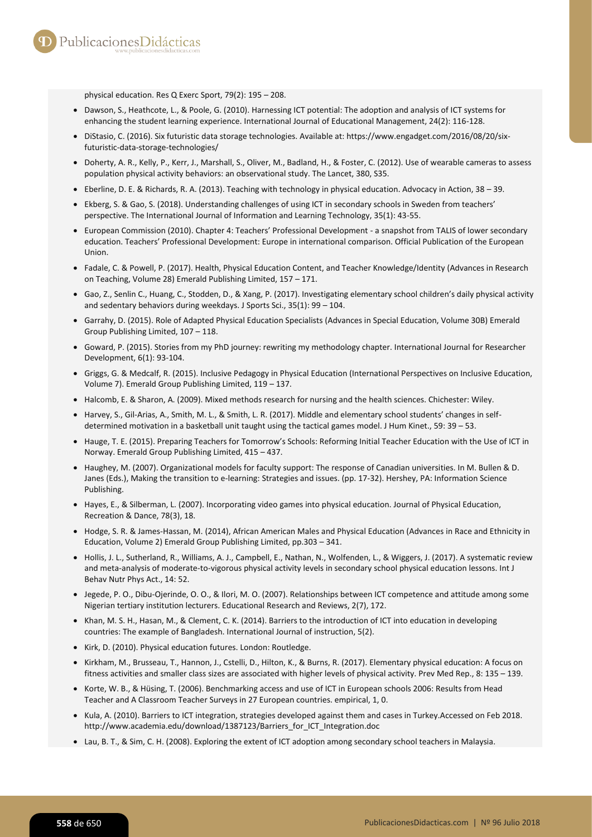physical education. Res Q Exerc Sport, 79(2): 195 – 208.

- Dawson, S., Heathcote, L., & Poole, G. (2010). Harnessing ICT potential: The adoption and analysis of ICT systems for enhancing the student learning experience. International Journal of Educational Management, 24(2): 116-128.
- DiStasio, C. (2016). Six futuristic data storage technologies. Available at: https://www.engadget.com/2016/08/20/sixfuturistic-data-storage-technologies/
- Doherty, A. R., Kelly, P., Kerr, J., Marshall, S., Oliver, M., Badland, H., & Foster, C. (2012). Use of wearable cameras to assess population physical activity behaviors: an observational study. The Lancet, 380, S35.
- Eberline, D. E. & Richards, R. A. (2013). Teaching with technology in physical education. Advocacy in Action, 38 39.
- Ekberg, S. & Gao, S. (2018). Understanding challenges of using ICT in secondary schools in Sweden from teachers' perspective. The International Journal of Information and Learning Technology, 35(1): 43-55.
- European Commission (2010). Chapter 4: Teachers' Professional Development a snapshot from TALIS of lower secondary education. Teachers' Professional Development: Europe in international comparison. Official Publication of the European Union.
- Fadale, C. & Powell, P. (2017). Health, Physical Education Content, and Teacher Knowledge/Identity (Advances in Research on Teaching, Volume 28) Emerald Publishing Limited, 157 – 171.
- Gao, Z., Senlin C., Huang, C., Stodden, D., & Xang, P. (2017). Investigating elementary school children's daily physical activity and sedentary behaviors during weekdays. J Sports Sci., 35(1): 99 – 104.
- Garrahy, D. (2015). Role of Adapted Physical Education Specialists (Advances in Special Education, Volume 30B) Emerald Group Publishing Limited, 107 – 118.
- Goward, P. (2015). Stories from my PhD journey: rewriting my methodology chapter. International Journal for Researcher Development, 6(1): 93-104.
- Griggs, G. & Medcalf, R. (2015). Inclusive Pedagogy in Physical Education (International Perspectives on Inclusive Education, Volume 7). Emerald Group Publishing Limited, 119 – 137.
- Halcomb, E. & Sharon, A. (2009). Mixed methods research for nursing and the health sciences. Chichester: Wiley.
- Harvey, S., Gil-Arias, A., Smith, M. L., & Smith, L. R. (2017). Middle and elementary school students' changes in selfdetermined motivation in a basketball unit taught using the tactical games model. J Hum Kinet., 59: 39 – 53.
- Hauge, T. E. (2015). Preparing Teachers for Tomorrow's Schools: Reforming Initial Teacher Education with the Use of ICT in Norway. Emerald Group Publishing Limited, 415 – 437.
- Haughey, M. (2007). Organizational models for faculty support: The response of Canadian universities. In M. Bullen & D. Janes (Eds.), Making the transition to e-learning: Strategies and issues. (pp. 17-32). Hershey, PA: Information Science Publishing.
- Hayes, E., & Silberman, L. (2007). Incorporating video games into physical education. Journal of Physical Education, Recreation & Dance, 78(3), 18.
- Hodge, S. R. & James-Hassan, M. (2014), African American Males and Physical Education (Advances in Race and Ethnicity in Education, Volume 2) Emerald Group Publishing Limited, pp.303 – 341.
- Hollis, J. L., Sutherland, R., Williams, A. J., Campbell, E., Nathan, N., Wolfenden, L., & Wiggers, J. (2017). A systematic review and meta-analysis of moderate-to-vigorous physical activity levels in secondary school physical education lessons. Int J Behav Nutr Phys Act., 14: 52.
- Jegede, P. O., Dibu-Ojerinde, O. O., & Ilori, M. O. (2007). Relationships between ICT competence and attitude among some Nigerian tertiary institution lecturers. Educational Research and Reviews, 2(7), 172.
- Khan, M. S. H., Hasan, M., & Clement, C. K. (2014). Barriers to the introduction of ICT into education in developing countries: The example of Bangladesh. International Journal of instruction, 5(2).
- Kirk, D. (2010). Physical education futures. London: Routledge.
- Kirkham, M., Brusseau, T., Hannon, J., Cstelli, D., Hilton, K., & Burns, R. (2017). Elementary physical education: A focus on fitness activities and smaller class sizes are associated with higher levels of physical activity. Prev Med Rep., 8: 135 – 139.
- Korte, W. B., & Hüsing, T. (2006). Benchmarking access and use of ICT in European schools 2006: Results from Head Teacher and A Classroom Teacher Surveys in 27 European countries. empirical, 1, 0.
- Kula, A. (2010). Barriers to ICT integration, strategies developed against them and cases in Turkey.Accessed on Feb 2018. http://www.academia.edu/download/1387123/Barriers\_for\_ICT\_Integration.doc
- Lau, B. T., & Sim, C. H. (2008). Exploring the extent of ICT adoption among secondary school teachers in Malaysia.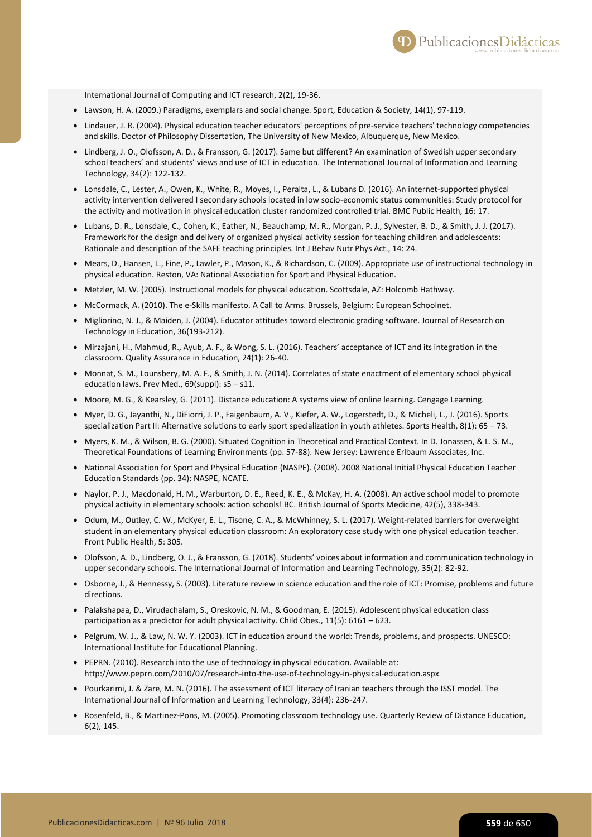International Journal of Computing and ICT research, 2(2), 19-36.

- Lawson, H. A. (2009.) Paradigms, exemplars and social change. Sport, Education & Society, 14(1), 97-119.
- Lindauer, J. R. (2004). Physical education teacher educators' perceptions of pre-service teachers' technology competencies and skills. Doctor of Philosophy Dissertation, The University of New Mexico, Albuquerque, New Mexico.
- Lindberg, J. O., Olofsson, A. D., & Fransson, G. (2017). Same but different? An examination of Swedish upper secondary school teachers' and students' views and use of ICT in education. The International Journal of Information and Learning Technology, 34(2): 122-132.
- Lonsdale, C., Lester, A., Owen, K., White, R., Moyes, I., Peralta, L., & Lubans D. (2016). An internet-supported physical activity intervention delivered I secondary schools located in low socio-economic status communities: Study protocol for the activity and motivation in physical education cluster randomized controlled trial. BMC Public Health, 16: 17.
- Lubans, D. R., Lonsdale, C., Cohen, K., Eather, N., Beauchamp, M. R., Morgan, P. J., Sylvester, B. D., & Smith, J. J. (2017). Framework for the design and delivery of organized physical activity session for teaching children and adolescents: Rationale and description of the SAFE teaching principles. Int J Behav Nutr Phys Act., 14: 24.
- Mears, D., Hansen, L., Fine, P., Lawler, P., Mason, K., & Richardson, C. (2009). Appropriate use of instructional technology in physical education. Reston, VA: National Association for Sport and Physical Education.
- Metzler, M. W. (2005). Instructional models for physical education. Scottsdale, AZ: Holcomb Hathway.
- McCormack, A. (2010). The e-Skills manifesto. A Call to Arms. Brussels, Belgium: European Schoolnet.
- $\bullet$  Migliorino, N. J., & Maiden, J. (2004). Educator attitudes toward electronic grading software. Journal of Research on Technology in Education, 36(193-212).
- $\bullet$  Mirzajani, H., Mahmud, R., Ayub, A. F., & Wong, S. L. (2016). Teachers' acceptance of ICT and its integration in the classroom. Quality Assurance in Education, 24(1): 26-40.
- $\bullet$  Monnat, S. M., Lounsbery, M. A. F., & Smith, J. N. (2014). Correlates of state enactment of elementary school physical education laws. Prev Med., 69(suppl): s5 – s11.
- Moore, M. G., & Kearsley, G. (2011). Distance education: A systems view of online learning. Cengage Learning.
- Myer, D. G., Jayanthi, N., DiFiorri, J. P., Faigenbaum, A. V., Kiefer, A. W., Logerstedt, D., & Micheli, L., J. (2016). Sports specialization Part II: Alternative solutions to early sport specialization in youth athletes. Sports Health, 8(1): 65 – 73.
- Myers, K. M., & Wilson, B. G. (2000). Situated Cognition in Theoretical and Practical Context. In D. Jonassen, & L. S. M., Theoretical Foundations of Learning Environments (pp. 57-88). New Jersey: Lawrence Erlbaum Associates, Inc.
- National Association for Sport and Physical Education (NASPE). (2008). 2008 National Initial Physical Education Teacher Education Standards (pp. 34): NASPE, NCATE.
- Naylor, P. J., Macdonald, H. M., Warburton, D. E., Reed, K. E., & McKay, H. A. (2008). An active school model to promote physical activity in elementary schools: action schools! BC. British Journal of Sports Medicine, 42(5), 338-343.
- Odum, M., Outley, C. W., McKyer, E. L., Tisone, C. A., & McWhinney, S. L. (2017). Weight-related barriers for overweight student in an elementary physical education classroom: An exploratory case study with one physical education teacher. Front Public Health, 5: 305.
- Olofsson, A. D., Lindberg, O. J., & Fransson, G. (2018). Students' voices about information and communication technology in upper secondary schools. The International Journal of Information and Learning Technology, 35(2): 82-92.
- Osborne, J., & Hennessy, S. (2003). Literature review in science education and the role of ICT: Promise, problems and future directions.
- Palakshapaa, D., Virudachalam, S., Oreskovic, N. M., & Goodman, E. (2015). Adolescent physical education class participation as a predictor for adult physical activity. Child Obes., 11(5): 6161 – 623.
- Pelgrum, W. J., & Law, N. W. Y. (2003). ICT in education around the world: Trends, problems, and prospects. UNESCO: International Institute for Educational Planning.
- PEPRN. (2010). Research into the use of technology in physical education. Available at: http://www.peprn.com/2010/07/research-into-the-use-of-technology-in-physical-education.aspx
- Pourkarimi, J. & Zare, M. N. (2016). The assessment of ICT literacy of Iranian teachers through the ISST model. The International Journal of Information and Learning Technology, 33(4): 236-247.
- Rosenfeld, B., & Martinez-Pons, M. (2005). Promoting classroom technology use. Quarterly Review of Distance Education, 6(2), 145.